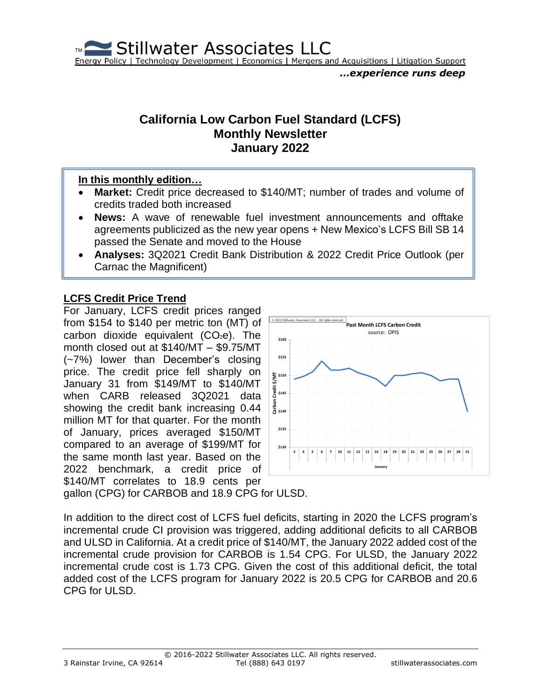Stillwater Associates LLC Energy Policy | Technology Development | Economics | Mergers and Acquisitions | Litigation Support

### **California Low Carbon Fuel Standard (LCFS) Monthly Newsletter January 2022**

#### **In this monthly edition…**

- **Market:** Credit price decreased to \$140/MT; number of trades and volume of credits traded both increased
- **News:** A wave of renewable fuel investment announcements and offtake agreements publicized as the new year opens + New Mexico's LCFS Bill SB 14 passed the Senate and moved to the House
- **Analyses:** 3Q2021 Credit Bank Distribution & 2022 Credit Price Outlook (per Carnac the Magnificent)

### **LCFS Credit Price Trend**

For January, LCFS credit prices ranged from \$154 to \$140 per metric ton (MT) of carbon dioxide equivalent  $(CO<sub>2</sub>e)$ . The month closed out at \$140/MT – \$9.75/MT (~7%) lower than December's closing price. The credit price fell sharply on January 31 from \$149/MT to \$140/MT when CARB released 3Q2021 data showing the credit bank increasing 0.44 million MT for that quarter. For the month of January, prices averaged \$150/MT compared to an average of \$199/MT for the same month last year. Based on the 2022 benchmark, a credit price of \$140/MT correlates to 18.9 cents per



gallon (CPG) for CARBOB and 18.9 CPG for ULSD.

In addition to the direct cost of LCFS fuel deficits, starting in 2020 the LCFS program's incremental crude CI provision was triggered, adding additional deficits to all CARBOB and ULSD in California. At a credit price of \$140/MT, the January 2022 added cost of the incremental crude provision for CARBOB is 1.54 CPG. For ULSD, the January 2022 incremental crude cost is 1.73 CPG. Given the cost of this additional deficit, the total added cost of the LCFS program for January 2022 is 20.5 CPG for CARBOB and 20.6 CPG for ULSD.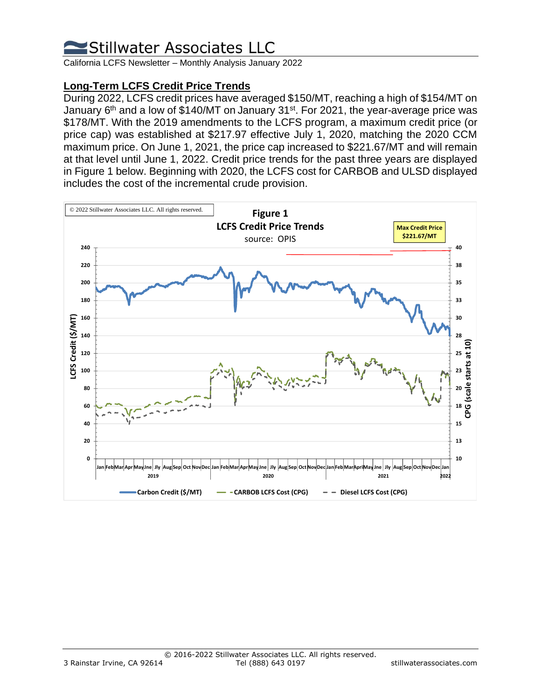California LCFS Newsletter – Monthly Analysis January 2022

### **Long-Term LCFS Credit Price Trends**

During 2022, LCFS credit prices have averaged \$150/MT, reaching a high of \$154/MT on January 6<sup>th</sup> and a low of \$140/MT on January 31st. For 2021, the year-average price was \$178/MT. With the 2019 amendments to the LCFS program, a maximum credit price (or price cap) was established at \$217.97 effective July 1, 2020, matching the 2020 CCM maximum price. On June 1, 2021, the price cap increased to \$221.67/MT and will remain at that level until June 1, 2022. Credit price trends for the past three years are displayed in Figure 1 below. Beginning with 2020, the LCFS cost for CARBOB and ULSD displayed includes the cost of the incremental crude provision.

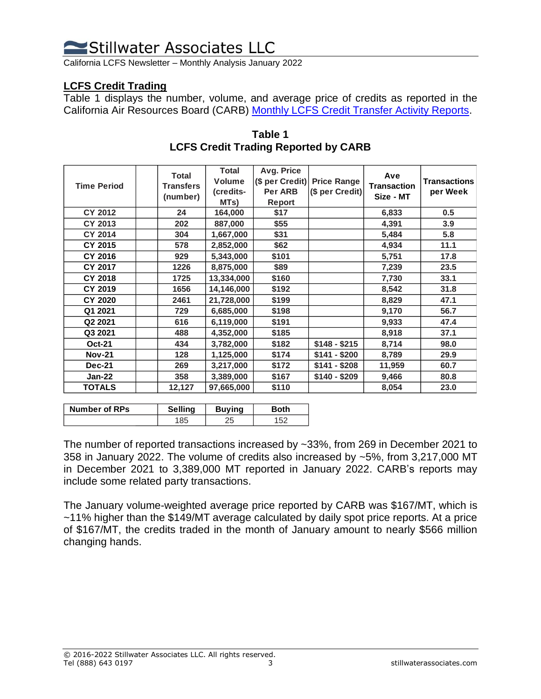California LCFS Newsletter – Monthly Analysis January 2022

#### **LCFS Credit Trading**

Table 1 displays the number, volume, and average price of credits as reported in the California Air Resources Board (CARB) [Monthly LCFS Credit Transfer Activity Reports.](https://ww2.arb.ca.gov/resources/documents/monthly-lcfs-credit-transfer-activity-reports)

| <b>Time Period</b> | <b>Total</b><br><b>Transfers</b><br>(number) | Total<br><b>Volume</b><br>(credits-<br>MTs) | Avg. Price<br>Per ARB<br>Report | (\$ per Credit) Price Range<br>(\$ per Credit) | Ave<br><b>Transaction</b><br>Size - MT | <b>Transactions</b><br>per Week |
|--------------------|----------------------------------------------|---------------------------------------------|---------------------------------|------------------------------------------------|----------------------------------------|---------------------------------|
| <b>CY 2012</b>     | 24                                           | 164,000                                     | \$17                            |                                                | 6,833                                  | 0.5                             |
| <b>CY 2013</b>     | 202                                          | 887,000                                     | \$55                            |                                                | 4,391                                  | 3.9                             |
| <b>CY 2014</b>     | 304                                          | 1,667,000                                   | \$31                            |                                                | 5,484                                  | 5.8                             |
| CY 2015            | 578                                          | 2,852,000                                   | \$62                            |                                                | 4,934                                  | 11.1                            |
| <b>CY 2016</b>     | 929                                          | 5,343,000                                   | \$101                           |                                                | 5,751                                  | 17.8                            |
| <b>CY 2017</b>     | 1226                                         | 8,875,000                                   | \$89                            |                                                | 7,239                                  | 23.5                            |
| <b>CY 2018</b>     | 1725                                         | 13,334,000                                  | \$160                           |                                                | 7,730                                  | 33.1                            |
| CY 2019            | 1656                                         | 14,146,000                                  | \$192                           |                                                | 8,542                                  | 31.8                            |
| <b>CY 2020</b>     | 2461                                         | 21,728,000                                  | \$199                           |                                                | 8,829                                  | 47.1                            |
| Q1 2021            | 729                                          | 6,685,000                                   | \$198                           |                                                | 9,170                                  | 56.7                            |
| Q2 2021            | 616                                          | 6,119,000                                   | \$191                           |                                                | 9,933                                  | 47.4                            |
| Q3 2021            | 488                                          | 4,352,000                                   | \$185                           |                                                | 8,918                                  | 37.1                            |
| <b>Oct-21</b>      | 434                                          | 3,782,000                                   | \$182                           | $$148 - $215$                                  | 8,714                                  | 98.0                            |
| <b>Nov-21</b>      | 128                                          | 1,125,000                                   | \$174                           | $$141 - $200$                                  | 8,789                                  | 29.9                            |
| <b>Dec-21</b>      | 269                                          | 3,217,000                                   | \$172                           | $$141 - $208$                                  | 11,959                                 | 60.7                            |
| <b>Jan-22</b>      | 358                                          | 3,389,000                                   | \$167                           | $$140 - $209$                                  | 9,466                                  | 80.8                            |
| <b>TOTALS</b>      | 12,127                                       | 97,665,000                                  | \$110                           |                                                | 8,054                                  | 23.0                            |

#### **Table 1 LCFS Credit Trading Reported by CARB**

| <b>Number of RPs</b> | <b>Selling</b> | Buvina | oth |
|----------------------|----------------|--------|-----|
|                      |                |        |     |

The number of reported transactions increased by ~33%, from 269 in December 2021 to 358 in January 2022. The volume of credits also increased by ~5%, from 3,217,000 MT in December 2021 to 3,389,000 MT reported in January 2022. CARB's reports may include some related party transactions.

The January volume-weighted average price reported by CARB was \$167/MT, which is ~11% higher than the \$149/MT average calculated by daily spot price reports. At a price of \$167/MT, the credits traded in the month of January amount to nearly \$566 million changing hands.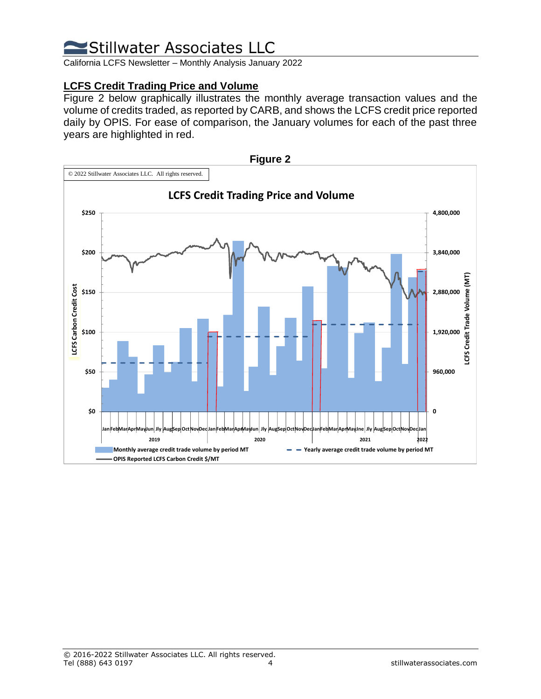California LCFS Newsletter – Monthly Analysis January 2022

### **LCFS Credit Trading Price and Volume**

Figure 2 below graphically illustrates the monthly average transaction values and the volume of credits traded, as reported by CARB, and shows the LCFS credit price reported daily by OPIS. For ease of comparison, the January volumes for each of the past three years are highlighted in red.

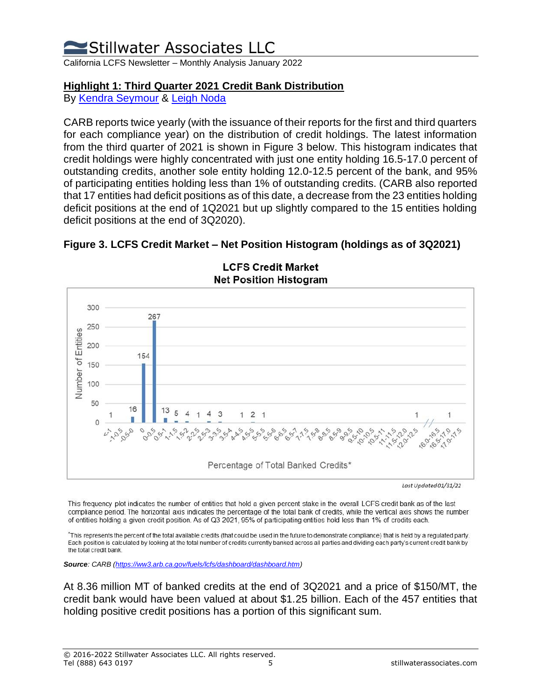California LCFS Newsletter – Monthly Analysis January 2022

### **Highlight 1: Third Quarter 2021 Credit Bank Distribution**

By [Kendra Seymour](https://stillwaterassociates.com/staff/kendra-seymour/) & [Leigh Noda](https://stillwaterassociates.com/staff/leigh-noda/)

CARB reports twice yearly (with the issuance of their reports for the first and third quarters for each compliance year) on the distribution of credit holdings. The latest information from the third quarter of 2021 is shown in Figure 3 below. This histogram indicates that credit holdings were highly concentrated with just one entity holding 16.5-17.0 percent of outstanding credits, another sole entity holding 12.0-12.5 percent of the bank, and 95% of participating entities holding less than 1% of outstanding credits. (CARB also reported that 17 entities had deficit positions as of this date, a decrease from the 23 entities holding deficit positions at the end of 1Q2021 but up slightly compared to the 15 entities holding deficit positions at the end of 3Q2020).





**LCFS Credit Market** 

This frequency plot indicates the number of entities that hold a given percent stake in the overall LCFS credit bank as of the last compliance period. The horizontal axis indicates the percentage of the total bank of credits, while the vertical axis shows the number of entities holding a given credit position. As of Q3 2021, 95% of participating entities hold less than 1% of credits each.

\*This represents the percent of the total available credits (that could be used in the future to demonstrate compliance) that is held by a regulated party. Each position is calculated by looking at the total number of credits currently banked across all parties and dividing each party's current credit bank by the total credit bank.

*Source: CARB [\(https://ww3.arb.ca.gov/fuels/lcfs/dashboard/dashboard.htm\)](https://ww3.arb.ca.gov/fuels/lcfs/dashboard/dashboard.htm)*

At 8.36 million MT of banked credits at the end of 3Q2021 and a price of \$150/MT, the credit bank would have been valued at about \$1.25 billion. Each of the 457 entities that holding positive credit positions has a portion of this significant sum.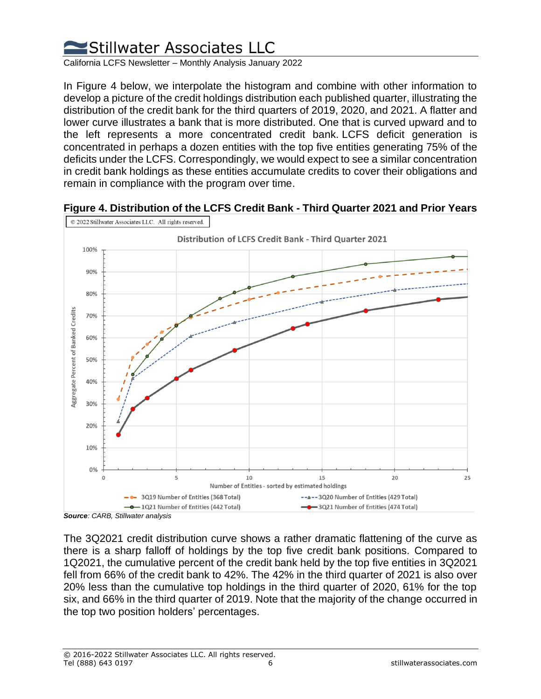

California LCFS Newsletter – Monthly Analysis January 2022

In Figure 4 below, we interpolate the histogram and combine with other information to develop a picture of the credit holdings distribution each published quarter, illustrating the distribution of the credit bank for the third quarters of 2019, 2020, and 2021. A flatter and lower curve illustrates a bank that is more distributed. One that is curved upward and to the left represents a more concentrated credit bank. LCFS deficit generation is concentrated in perhaps a dozen entities with the top five entities generating 75% of the deficits under the LCFS. Correspondingly, we would expect to see a similar concentration in credit bank holdings as these entities accumulate credits to cover their obligations and remain in compliance with the program over time.



**Figure 4. Distribution of the LCFS Credit Bank - Third Quarter 2021 and Prior Years**

The 3Q2021 credit distribution curve shows a rather dramatic flattening of the curve as there is a sharp falloff of holdings by the top five credit bank positions. Compared to 1Q2021, the cumulative percent of the credit bank held by the top five entities in 3Q2021 fell from 66% of the credit bank to 42%. The 42% in the third quarter of 2021 is also over 20% less than the cumulative top holdings in the third quarter of 2020, 61% for the top six, and 66% in the third quarter of 2019. Note that the majority of the change occurred in the top two position holders' percentages.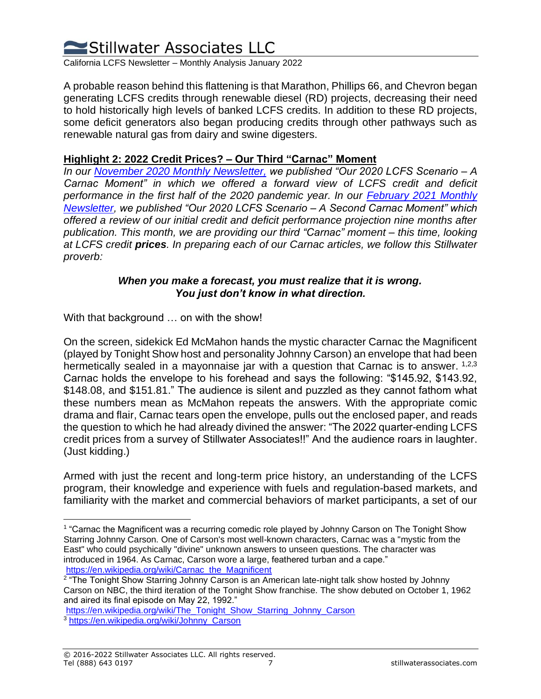

California LCFS Newsletter – Monthly Analysis January 2022

A probable reason behind this flattening is that Marathon, Phillips 66, and Chevron began generating LCFS credits through renewable diesel (RD) projects, decreasing their need to hold historically high levels of banked LCFS credits. In addition to these RD projects, some deficit generators also began producing credits through other pathways such as renewable natural gas from dairy and swine digesters.

#### **Highlight 2: 2022 Credit Prices? – Our Third "Carnac" Moment**

*In our [November 2020](https://stillwaterpublications.com/newsletters/november-2020-direct-air-capture-the-lcfs-carbon-caveat-our-2020-lcfs-predictions-a-retrospective/) Monthly Newsletter, we published "Our 2020 LCFS Scenario – A Carnac Moment" in which we offered a forward view of LCFS credit and deficit performance in the first half of the 2020 pandemic year. In our [February 2021 Monthly](https://stillwaterpublications.com/newsletters/february-2021-stillwaters-2020-lcfs-scenario-our-second-carnac-moment/)  [Newsletter,](https://stillwaterpublications.com/newsletters/february-2021-stillwaters-2020-lcfs-scenario-our-second-carnac-moment/) we published "Our 2020 LCFS Scenario – A Second Carnac Moment" which offered a review of our initial credit and deficit performance projection nine months after publication. This month, we are providing our third "Carnac" moment – this time, looking at LCFS credit prices. In preparing each of our Carnac articles, we follow this Stillwater proverb:*

#### *When you make a forecast, you must realize that it is wrong. You just don't know in what direction.*

With that background … on with the show!

On the screen, sidekick Ed McMahon hands the mystic character Carnac the Magnificent (played by Tonight Show host and personality Johnny Carson) an envelope that had been hermetically sealed in a mayonnaise jar with a question that Carnac is to answer.  $1,2,3$ Carnac holds the envelope to his forehead and says the following: "\$145.92, \$143.92, \$148.08, and \$151.81." The audience is silent and puzzled as they cannot fathom what these numbers mean as McMahon repeats the answers. With the appropriate comic drama and flair, Carnac tears open the envelope, pulls out the enclosed paper, and reads the question to which he had already divined the answer: "The 2022 quarter-ending LCFS credit prices from a survey of Stillwater Associates!!" And the audience roars in laughter. (Just kidding.)

Armed with just the recent and long-term price history, an understanding of the LCFS program, their knowledge and experience with fuels and regulation-based markets, and familiarity with the market and commercial behaviors of market participants, a set of our

<sup>1</sup> "Carnac the Magnificent was a recurring comedic role played by Johnny Carson on The Tonight Show Starring Johnny Carson. One of Carson's most well-known characters, Carnac was a "mystic from the East" who could psychically "divine" unknown answers to unseen questions. The character was introduced in 1964. As Carnac, Carson wore a large, feathered turban and a cape." [https://en.wikipedia.org/wiki/Carnac\\_the\\_Magnificent](https://en.wikipedia.org/wiki/Carnac_the_Magnificent)

<sup>&</sup>lt;sup>2</sup> "The Tonight Show Starring Johnny Carson is an American late-night talk show hosted by Johnny Carson on NBC, the third iteration of the Tonight Show franchise. The show debuted on October 1, 1962 and aired its final episode on May 22, 1992."

[https://en.wikipedia.org/wiki/The\\_Tonight\\_Show\\_Starring\\_Johnny\\_Carson](https://en.wikipedia.org/wiki/The_Tonight_Show_Starring_Johnny_Carson) <sup>3</sup> [https://en.wikipedia.org/wiki/Johnny\\_Carson](https://en.wikipedia.org/wiki/Johnny_Carson)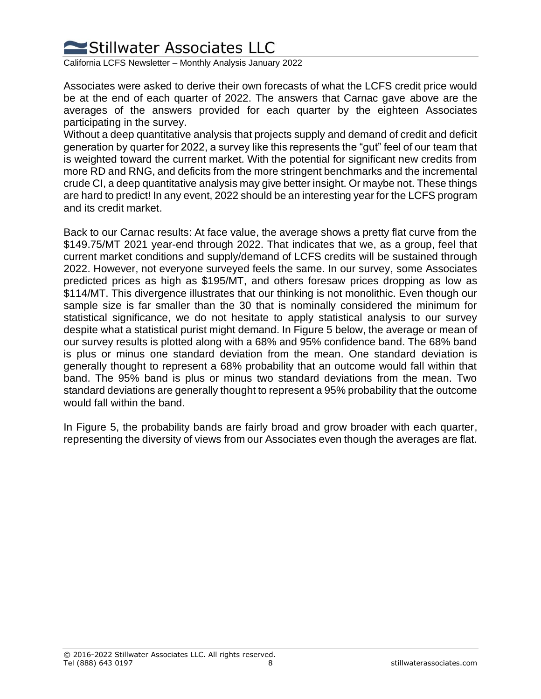

California LCFS Newsletter – Monthly Analysis January 2022

Associates were asked to derive their own forecasts of what the LCFS credit price would be at the end of each quarter of 2022. The answers that Carnac gave above are the averages of the answers provided for each quarter by the eighteen Associates participating in the survey.

Without a deep quantitative analysis that projects supply and demand of credit and deficit generation by quarter for 2022, a survey like this represents the "gut" feel of our team that is weighted toward the current market. With the potential for significant new credits from more RD and RNG, and deficits from the more stringent benchmarks and the incremental crude CI, a deep quantitative analysis may give better insight. Or maybe not. These things are hard to predict! In any event, 2022 should be an interesting year for the LCFS program and its credit market.

Back to our Carnac results: At face value, the average shows a pretty flat curve from the \$149.75/MT 2021 year-end through 2022. That indicates that we, as a group, feel that current market conditions and supply/demand of LCFS credits will be sustained through 2022. However, not everyone surveyed feels the same. In our survey, some Associates predicted prices as high as \$195/MT, and others foresaw prices dropping as low as \$114/MT. This divergence illustrates that our thinking is not monolithic. Even though our sample size is far smaller than the 30 that is nominally considered the minimum for statistical significance, we do not hesitate to apply statistical analysis to our survey despite what a statistical purist might demand. In Figure 5 below, the average or mean of our survey results is plotted along with a 68% and 95% confidence band. The 68% band is plus or minus one standard deviation from the mean. One standard deviation is generally thought to represent a 68% probability that an outcome would fall within that band. The 95% band is plus or minus two standard deviations from the mean. Two standard deviations are generally thought to represent a 95% probability that the outcome would fall within the band.

In Figure 5, the probability bands are fairly broad and grow broader with each quarter, representing the diversity of views from our Associates even though the averages are flat.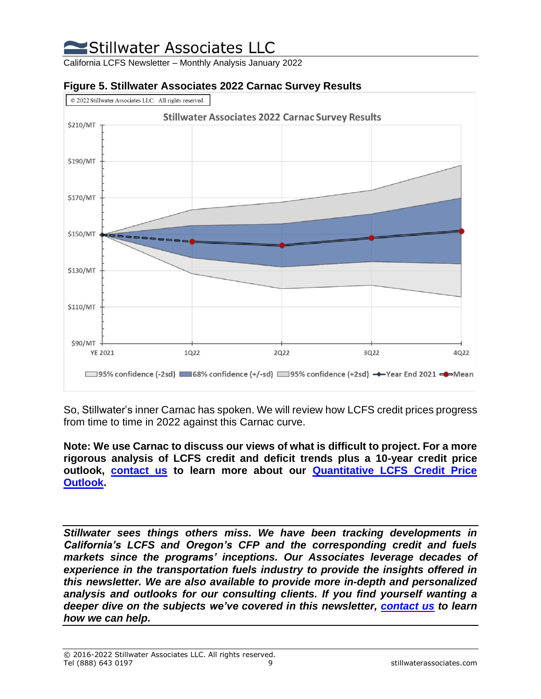California LCFS Newsletter – Monthly Analysis January 2022



#### **Figure 5. Stillwater Associates 2022 Carnac Survey Results**

So, Stillwater's inner Carnac has spoken. We will review how LCFS credit prices progress from time to time in 2022 against this Carnac curve.

**Note: We use Carnac to discuss our views of what is difficult to project. For a more rigorous analysis of LCFS credit and deficit trends plus a 10-year credit price outlook, [contact us](https://stillwaterpublications.com/contact/) to learn more about our [Quantitative LCFS Credit Price](https://stillwaterassociates.com/what-does-the-recent-growth-in-the-lcfs-credit-bank-mean-for-credit-prices-in-the-longer-term/)  [Outlook.](https://stillwaterassociates.com/what-does-the-recent-growth-in-the-lcfs-credit-bank-mean-for-credit-prices-in-the-longer-term/)** 

*Stillwater sees things others miss. We have been tracking developments in California's LCFS and Oregon's CFP and the corresponding credit and fuels markets since the programs' inceptions. Our Associates leverage decades of experience in the transportation fuels industry to provide the insights offered in this newsletter. We are also available to provide more in-depth and personalized analysis and outlooks for our consulting clients. If you find yourself wanting a deeper dive on the subjects we've covered in this newsletter, [contact](https://www.stillwaterpublications.com/contact/) us to learn how we can help.*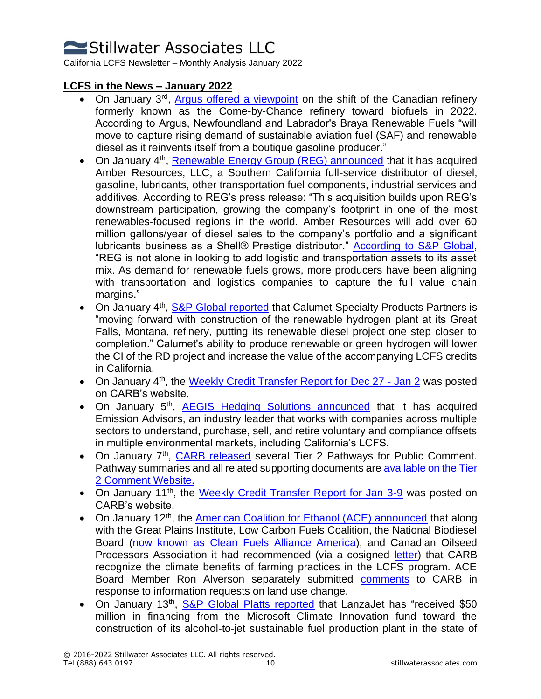California LCFS Newsletter – Monthly Analysis January 2022

### **LCFS in the News – January 2022**

- On January 3<sup>rd</sup>, [Argus offered a viewpoint](https://www.argusmedia.com/en/news/2288262-viewpoint-canadian-refiner-shifts-to-biofuels-in-2022?backToResults=true) on the shift of the Canadian refinery formerly known as the Come-by-Chance refinery toward biofuels in 2022. According to Argus, Newfoundland and Labrador's Braya Renewable Fuels "will move to capture rising demand of sustainable aviation fuel (SAF) and renewable diesel as it reinvents itself from a boutique gasoline producer."
- On January 4<sup>th</sup>, [Renewable Energy Group \(REG\) announced](https://www.businesswire.com/news/home/20220104005773/en/Renewable-Energy-Group-Acquires-California-Based-Amber-Resources-LLC) that it has acquired Amber Resources, LLC, a Southern California full-service distributor of diesel, gasoline, lubricants, other transportation fuel components, industrial services and additives. According to REG's press release: "This acquisition builds upon REG's downstream participation, growing the company's footprint in one of the most renewables-focused regions in the world. Amber Resources will add over 60 million gallons/year of diesel sales to the company's portfolio and a significant lubricants business as a Shell® Prestige distributor." [According to S&P Global,](https://www.spglobal.com/platts/en/market-insights/topics/cop26-un-climate-change-conference) "REG is not alone in looking to add logistic and transportation assets to its asset mix. As demand for renewable fuels grows, more producers have been aligning with transportation and logistics companies to capture the full value chain margins."
- On January 4<sup>th</sup>, **S&P Global reported** that Calumet Specialty Products Partners is "moving forward with construction of the renewable hydrogen plant at its Great Falls, Montana, refinery, putting its renewable diesel project one step closer to completion." Calumet's ability to produce renewable or green hydrogen will lower the CI of the RD project and increase the value of the accompanying LCFS credits in California.
- On January 4<sup>th</sup>, the [Weekly Credit Transfer Report for Dec 27 -](https://ww2.arb.ca.gov/resources/documents/weekly-lcfs-credit-transfer-activity-reports) Jan 2 was posted on CARB's website.
- On January 5<sup>th</sup>, **[AEGIS Hedging Solutions announced](https://finance.yahoo.com/news/aegis-hedging-adds-environmental-market-140000839.html)** that it has acquired Emission Advisors, an industry leader that works with companies across multiple sectors to understand, purchase, sell, and retire voluntary and compliance offsets in multiple environmental markets, including California's LCFS.
- On January 7<sup>th</sup>, *CARB released* several Tier 2 Pathways for Public Comment. Pathway summaries and all related supporting documents are [available on the Tier](https://ww2.arb.ca.gov/resources/documents/lcfs-pathways-requiring-public-comments)  [2 Comment Website.](https://ww2.arb.ca.gov/resources/documents/lcfs-pathways-requiring-public-comments)
- On January 11<sup>th</sup>, the [Weekly Credit Transfer Report for Jan 3-9](https://ww2.arb.ca.gov/resources/documents/weekly-lcfs-credit-transfer-activity-reports) was posted on CARB's website.
- On January 12<sup>th</sup>, the [American Coalition for Ethanol \(ACE\) announced](http://biodieselmagazine.com/articles/2517935/nbb-industry-groups-urge-carb-to-recognize-climate-smart-farming) that along with the Great Plains Institute, Low Carbon Fuels Coalition, the National Biodiesel Board [\(now known as Clean Fuels Alliance America\)](http://biomassmagazine.com/articles/18637/national-biodiesel-board-is-now-clean-fuels-alliance-america), and Canadian Oilseed Processors Association it had recommended (via a cosigned [letter\)](https://ethanol.org/Website%20Uploads/Website%20Documents/7%20Jan%202022%20Joint%20Soil%20Carbon%20Letter%20Final.pdf) that CARB recognize the climate benefits of farming practices in the LCFS program. ACE Board Member Ron Alverson separately submitted [comments](https://ethanol.org/Website%20Uploads/Website%20Documents/Comments%20on%20Public%20Workshop%20to%20Discuss%20Potential%20Future%20Changes%20to%20the%20LCFS%20Program.pdf) to CARB in response to information requests on land use change.
- On January 13<sup>th</sup>, **S&P Global Platts reported** that LanzaJet has "received \$50 million in financing from the Microsoft Climate Innovation fund toward the construction of its alcohol-to-jet sustainable fuel production plant in the state of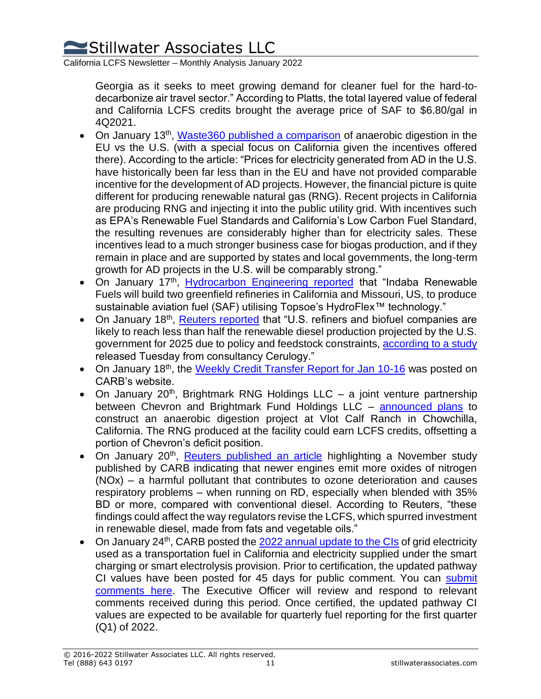California LCFS Newsletter – Monthly Analysis January 2022

Georgia as it seeks to meet growing demand for cleaner fuel for the hard-todecarbonize air travel sector." According to Platts, the total layered value of federal and California LCFS credits brought the average price of SAF to \$6.80/gal in 4Q2021.

- On January 13<sup>th</sup>, [Waste360 published a comparison](https://www.waste360.com/anaerobic-digestion/comparison-anaerobic-digestion-eu-vs-us-part-one) of anaerobic digestion in the EU vs the U.S. (with a special focus on California given the incentives offered there). According to the article: "Prices for electricity generated from AD in the U.S. have historically been far less than in the EU and have not provided comparable incentive for the development of AD projects. However, the financial picture is quite different for producing renewable natural gas (RNG). Recent projects in California are producing RNG and injecting it into the public utility grid. With incentives such as EPA's Renewable Fuel Standards and California's Low Carbon Fuel Standard, the resulting revenues are considerably higher than for electricity sales. These incentives lead to a much stronger business case for biogas production, and if they remain in place and are supported by states and local governments, the long-term growth for AD projects in the U.S. will be comparably strong."
- On January 17<sup>th</sup>, *[Hydrocarbon Engineering reported](https://www.hydrocarbonengineering.com/clean-fuels/17012022/haldor-topsoe-to-support-indaba-renewable-fuels-production-of-saf/)* that "Indaba Renewable Fuels will build two greenfield refineries in California and Missouri, US, to produce sustainable aviation fuel (SAF) utilising Topsoe's HydroFlex<sup>™</sup> technology."
- On January 18<sup>th</sup>, *Reuters reported* that "U.S. refiners and biofuel companies are likely to reach less than half the renewable diesel production projected by the U.S. government for 2025 due to policy and feedstock constraints, [according to a study](https://theicct.org/wp-content/uploads/2022/01/impact-renewable-diesel-us-jan22.pdf) released Tuesday from consultancy Cerulogy."
- On January 18<sup>th</sup>, the [Weekly Credit Transfer Report for Jan 10-16](https://ww2.arb.ca.gov/resources/documents/weekly-lcfs-credit-transfer-activity-reports) was posted on CARB's website.
- On January 20<sup>th</sup>, Brightmark RNG Holdings LLC a joint venture partnership between Chevron and Brightmark Fund Holdings LLC – [announced plans](https://www.businesswire.com/news/home/20220120005216/en/Brightmark-Chevron-Announce-Vlot-Anaerobic-Digestion-Project) to construct an anaerobic digestion project at Vlot Calf Ranch in Chowchilla, California. The RNG produced at the facility could earn LCFS credits, offsetting a portion of Chevron's deficit position.
- On January 20<sup>th</sup>, [Reuters published an article](https://financialpost.com/pmn/business-pmn/californias-battle-to-cut-emissions-with-biofuels-burns-in-new-truck-engines) highlighting a November study published by CARB indicating that newer engines emit more oxides of nitrogen (NOx) – a harmful pollutant that contributes to ozone deterioration and causes respiratory problems – when running on RD, especially when blended with 35% BD or more, compared with conventional diesel. According to Reuters, "these findings could affect the way regulators revise the LCFS, which spurred investment in renewable diesel, made from fats and vegetable oils."
- On January  $24<sup>th</sup>$ , CARB posted the [2022 annual update to the CIs](https://ww2.arb.ca.gov/sites/default/files/classic/fuels/lcfs/fuelpathways/comments/tier2/2022_elec_update.pdf) of grid electricity used as a transportation fuel in California and electricity supplied under the smart charging or smart electrolysis provision. Prior to certification, the updated pathway CI values have been posted for 45 days for public comment. You can submit [comments here.](https://www.arb.ca.gov/lispub/comm2/bcsubform.php?comm_period=2&listname=tier2lcfspathways-ws) The Executive Officer will review and respond to relevant comments received during this period. Once certified, the updated pathway CI values are expected to be available for quarterly fuel reporting for the first quarter (Q1) of 2022.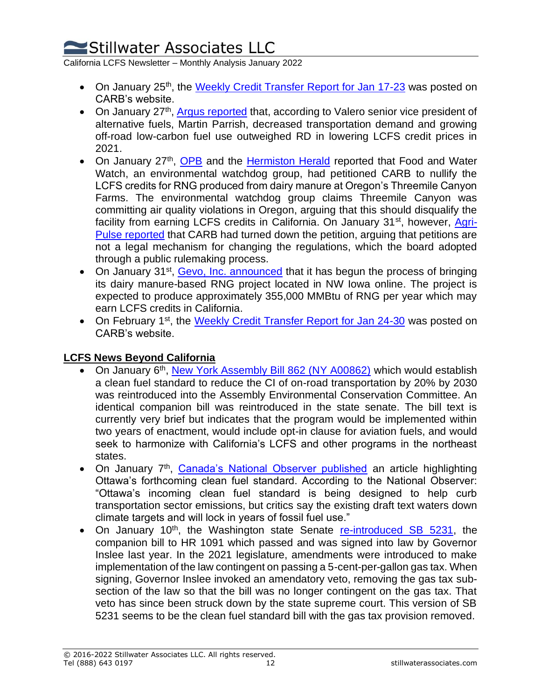California LCFS Newsletter – Monthly Analysis January 2022

- On January 25<sup>th</sup>, the [Weekly Credit Transfer Report for Jan 17-23](https://ww2.arb.ca.gov/resources/documents/weekly-lcfs-credit-transfer-activity-reports) was posted on CARB's website.
- On January 27<sup>th</sup>, *Argus reported* that, according to Valero senior vice president of alternative fuels, Martin Parrish, decreased transportation demand and growing off-road low-carbon fuel use outweighed RD in lowering LCFS credit prices in 2021.
- On January 27<sup>th</sup>, [OPB](https://www.opb.org/article/2022/01/27/dairy-methane-oregon-threemile-california-energy-credits/) and the [Hermiston Herald](https://www.hermistonherald.com/news/local/environmental-group-seeks-to-invalidate-green-energy-credits-for-dairy-digester/article_50a4c574-4ed2-5861-98af-23209e8cc91a.html) reported that Food and Water Watch, an environmental watchdog group, had petitioned CARB to nullify the LCFS credits for RNG produced from dairy manure at Oregon's Threemile Canyon Farms. The environmental watchdog group claims Threemile Canyon was committing air quality violations in Oregon, arguing that this should disqualify the facility from earning LCFS credits in California. On January 31<sup>st</sup>, however, [Agri-](https://www.agri-pulse.com/articles/17130-carb-rejects-petition-to-cut-dairy-digesters-from-lcfs)[Pulse reported](https://www.agri-pulse.com/articles/17130-carb-rejects-petition-to-cut-dairy-digesters-from-lcfs) that CARB had turned down the petition, arguing that petitions are not a legal mechanism for changing the regulations, which the board adopted through a public rulemaking process.
- On January 31<sup>st</sup>, [Gevo, Inc. announced](https://www.yahoo.com/now/gevo-begins-startup-renewable-natural-140000872.html) that it has begun the process of bringing its dairy manure-based RNG project located in NW Iowa online. The project is expected to produce approximately 355,000 MMBtu of RNG per year which may earn LCFS credits in California.
- On February 1<sup>st</sup>, the [Weekly Credit Transfer Report for Jan 24-30](https://ww2.arb.ca.gov/resources/documents/weekly-lcfs-credit-transfer-activity-reports) was posted on CARB's website.

### **LCFS News Beyond California**

- On January 6<sup>th</sup>, [New York Assembly Bill 862 \(NY A00862\)](https://legiscan.com/NY/bill/A00862/2021) which would establish a clean fuel standard to reduce the CI of on-road transportation by 20% by 2030 was reintroduced into the Assembly Environmental Conservation Committee. An identical companion bill was reintroduced in the state senate. The bill text is currently very brief but indicates that the program would be implemented within two years of enactment, would include opt-in clause for aviation fuels, and would seek to harmonize with California's LCFS and other programs in the northeast states.
- On January 7<sup>th</sup>, [Canada's National Observer published](https://www.nationalobserver.com/2022/01/07/news/canadas-clean-fuel-regulations-might-lock-fossil-fuels) an article highlighting Ottawa's forthcoming clean fuel standard. According to the National Observer: "Ottawa's incoming clean fuel standard is being designed to help curb transportation sector emissions, but critics say the existing draft text waters down climate targets and will lock in years of fossil fuel use."
- On January 10<sup>th</sup>, the Washington state Senate [re-introduced SB](https://app.leg.wa.gov/billsummary?billnumber=5231&year=2021&initiative=False) 5231, the companion bill to HR 1091 which passed and was signed into law by Governor Inslee last year. In the 2021 legislature, amendments were introduced to make implementation of the law contingent on passing a 5-cent-per-gallon gas tax. When signing, Governor Inslee invoked an amendatory veto, removing the gas tax subsection of the law so that the bill was no longer contingent on the gas tax. That veto has since been struck down by the state supreme court. This version of SB 5231 seems to be the clean fuel standard bill with the gas tax provision removed.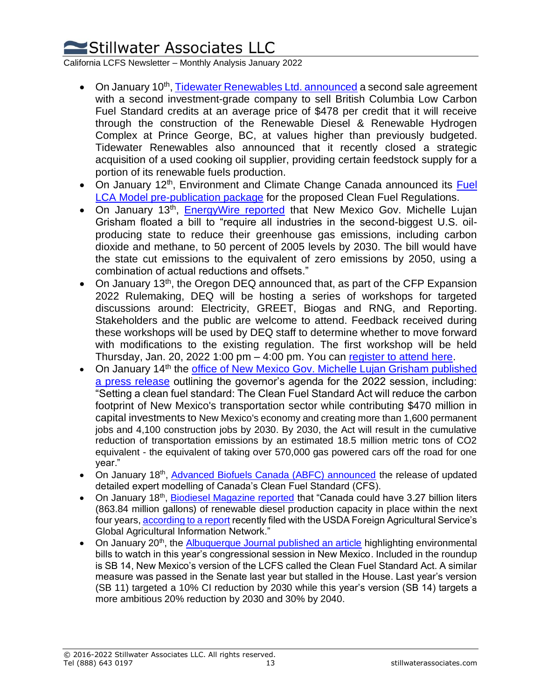California LCFS Newsletter – Monthly Analysis January 2022

- On January 10<sup>th</sup>, [Tidewater Renewables Ltd. announced](https://finance.yahoo.com/news/tidewater-renewables-ltd-continues-reduce-130000581.html) a second sale agreement with a second investment-grade company to sell British Columbia Low Carbon Fuel Standard credits at an average price of \$478 per credit that it will receive through the construction of the Renewable Diesel & Renewable Hydrogen Complex at Prince George, BC, at values higher than previously budgeted. Tidewater Renewables also announced that it recently closed a strategic acquisition of a used cooking oil supplier, providing certain feedstock supply for a portion of its renewable fuels production.
- On January 12<sup>th</sup>, Environment and Climate Change Canada announced its Fuel [LCA Model pre-publication package](https://data-donnees.ec.gc.ca/data/regulatee/climateoutreach/government-of-canadas-fuel-life-cycle-assessment-model/en/?lang=en) for the proposed Clean Fuel Regulations.
- On January 13<sup>th</sup>, **[EnergyWire reported](https://www.eenews.net/articles/2nd-largest-u-s-oil-state-eyes-net-zero-emissions/)** that New Mexico Gov. Michelle Lujan Grisham floated a bill to "require all industries in the second-biggest U.S. oilproducing state to reduce their greenhouse gas emissions, including carbon dioxide and methane, to 50 percent of 2005 levels by 2030. The bill would have the state cut emissions to the equivalent of zero emissions by 2050, using a combination of actual reductions and offsets."
- On January 13<sup>th</sup>, the Oregon DEQ announced that, as part of the CFP Expansion 2022 Rulemaking, DEQ will be hosting a series of workshops for targeted discussions around: Electricity, GREET, Biogas and RNG, and Reporting. Stakeholders and the public are welcome to attend. Feedback received during these workshops will be used by DEQ staff to determine whether to move forward with modifications to the existing regulation. The first workshop will be held Thursday, Jan. 20, 2022 1:00 pm – 4:00 pm. You can [register to attend here.](https://kearnswest.zoom.us/webinar/register/WN_97t9AywPQ5aEmtcm_shTEA)
- On January 14<sup>th</sup> the office of New Mexico Gov. Michelle Lujan Grisham published [a press release](https://www.governor.state.nm.us/2022/01/14/gov-lujan-grisham-announces-agenda-for-2022-session/) outlining the governor's agenda for the 2022 session, including: "Setting a clean fuel standard: The Clean Fuel Standard Act will reduce the carbon footprint of New Mexico's transportation sector while contributing \$470 million in capital investments to New Mexico's economy and creating more than 1,600 permanent jobs and 4,100 construction jobs by 2030. By 2030, the Act will result in the cumulative reduction of transportation emissions by an estimated 18.5 million metric tons of CO2 equivalent - the equivalent of taking over 570,000 gas powered cars off the road for one year."
- On January 18<sup>th</sup>, [Advanced Biofuels Canada \(ABFC\) announced](https://www.einnews.com/pr_news/560857969/modelling-of-canada-s-clean-fuel-standard-design-highlights-need-to-strengthen-regulation) the release of updated detailed expert modelling of Canada's Clean Fuel Standard (CFS).
- On January 18<sup>th</sup>, [Biodiesel Magazine reported](http://www.biodieselmagazine.com/articles/2517949/report-predicts-growth-in-canadian-renewable-diesel-production) that "Canada could have 3.27 billion liters (863.84 million gallons) of renewable diesel production capacity in place within the next four years[, according to a report](https://apps.fas.usda.gov/newgainapi/api/Report/DownloadReportByFileName?fileName=Biofuels%20Annual_Ottawa_Canada_06-14-2021) recently filed with the USDA Foreign Agricultural Service's Global Agricultural Information Network."
- On January 20<sup>th</sup>, the **Albuquerque Journal published an article** highlighting environmental bills to watch in this year's congressional session in New Mexico. Included in the roundup is SB 14, New Mexico's version of the LCFS called the Clean Fuel Standard Act. A similar measure was passed in the Senate last year but stalled in the House. Last year's version (SB 11) targeted a 10% CI reduction by 2030 while this year's version (SB 14) targets a more ambitious 20% reduction by 2030 and 30% by 2040.